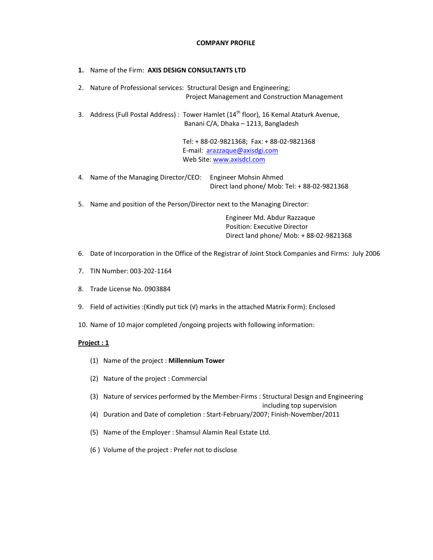## COMPANY PROFILE

- 1. Name of the Firm: AXIS DESIGN CONSULTANTS LTD 2. Nature of Professional services: Structural Design and Engineering; Project Management and Construction Management 3. Address (Full Postal Address) : Tower Hamlet ( $14<sup>th</sup>$  floor), 16 Kemal Ataturk Avenue, Banani C/A, Dhaka – 1213, Bangladesh Tel: + 88-02-9821368; Fax: + 88-02-9821368 E-mail: arazzaque@axisdgi.com Web Site: www.axisdcl.com 4. Name of the Managing Director/CEO: Engineer Mohsin Ahmed Direct land phone/ Mob: Tel: + 88-02-9821368
- 5. Name and position of the Person/Director next to the Managing Director:

 Engineer Md. Abdur Razzaque Position: Executive Director Direct land phone/ Mob: + 88-02-9821368

- 6. Date of Incorporation in the Office of the Registrar of Joint Stock Companies and Firms: July 2006
- 7. TIN Number: 003-202-1164
- 8. Trade License No. 0903884
- 9. Field of activities :(Kindly put tick (√) marks in the attached Matrix Form): Enclosed
- 10. Name of 10 major completed /ongoing projects with following information:

## Project : 1

- (1) Name of the project : Millennium Tower
- (2) Nature of the project : Commercial
- (3) Nature of services performed by the Member-Firms : Structural Design and Engineering
- including top supervision
- (4) Duration and Date of completion : Start-February/2007; Finish-November/2011
- (5) Name of the Employer : Shamsul Alamin Real Estate Ltd.
- (6 ) Volume of the project : Prefer not to disclose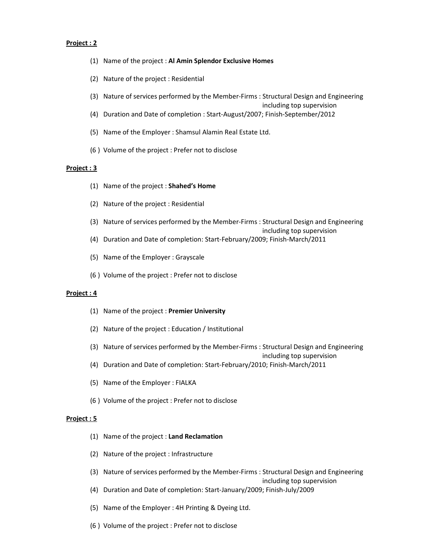## Project : 2

- (1) Name of the project : Al Amin Splendor Exclusive Homes
- (2) Nature of the project : Residential
- (3) Nature of services performed by the Member-Firms : Structural Design and Engineering
- including top supervision
- (4) Duration and Date of completion : Start-August/2007; Finish-September/2012
- (5) Name of the Employer : Shamsul Alamin Real Estate Ltd.
- (6 ) Volume of the project : Prefer not to disclose

#### Project : 3

- (1) Name of the project : Shahed's Home
- (2) Nature of the project : Residential
- (3) Nature of services performed by the Member-Firms : Structural Design and Engineering
- including top supervision (4) Duration and Date of completion: Start-February/2009; Finish-March/2011
- 
- (5) Name of the Employer : Grayscale
- (6 ) Volume of the project : Prefer not to disclose

## Project : 4

- (1) Name of the project : Premier University
- (2) Nature of the project : Education / Institutional
- (3) Nature of services performed by the Member-Firms : Structural Design and Engineering
	- including top supervision
- (4) Duration and Date of completion: Start-February/2010; Finish-March/2011
- (5) Name of the Employer : FIALKA
- (6 ) Volume of the project : Prefer not to disclose

#### Project : 5

- (1) Name of the project : Land Reclamation
- (2) Nature of the project : Infrastructure
- (3) Nature of services performed by the Member-Firms : Structural Design and Engineering

including top supervision

- (4) Duration and Date of completion: Start-January/2009; Finish-July/2009
- (5) Name of the Employer : 4H Printing & Dyeing Ltd.
- (6 ) Volume of the project : Prefer not to disclose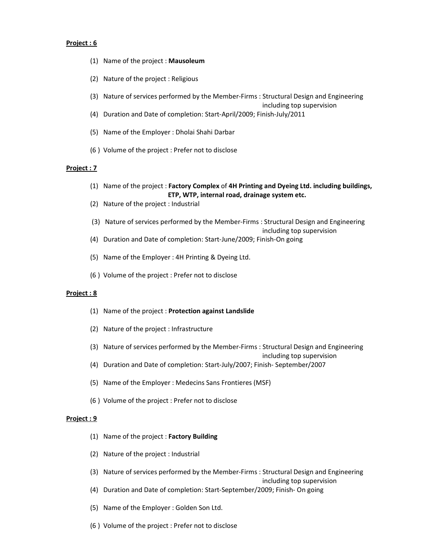## Project : 6

- (1) Name of the project : Mausoleum
- (2) Nature of the project : Religious
- (3) Nature of services performed by the Member-Firms : Structural Design and Engineering

including top supervision

- (4) Duration and Date of completion: Start-April/2009; Finish-July/2011
- (5) Name of the Employer : Dholai Shahi Darbar
- (6 ) Volume of the project : Prefer not to disclose

#### Project : 7

- (1) Name of the project : Factory Complex of 4H Printing and Dyeing Ltd. including buildings, ETP, WTP, internal road, drainage system etc.
- (2) Nature of the project : Industrial
- (3) Nature of services performed by the Member-Firms : Structural Design and Engineering
- including top supervision
- (4) Duration and Date of completion: Start-June/2009; Finish-On going
- (5) Name of the Employer : 4H Printing & Dyeing Ltd.
- (6 ) Volume of the project : Prefer not to disclose

## Project : 8

- (1) Name of the project : Protection against Landslide
- (2) Nature of the project : Infrastructure
- (3) Nature of services performed by the Member-Firms : Structural Design and Engineering

including top supervision

- (4) Duration and Date of completion: Start-July/2007; Finish- September/2007
- (5) Name of the Employer : Medecins Sans Frontieres (MSF)
- (6 ) Volume of the project : Prefer not to disclose

#### Project : 9

- (1) Name of the project : Factory Building
- (2) Nature of the project : Industrial
- (3) Nature of services performed by the Member-Firms : Structural Design and Engineering

including top supervision

- (4) Duration and Date of completion: Start-September/2009; Finish- On going
- (5) Name of the Employer : Golden Son Ltd.
- (6 ) Volume of the project : Prefer not to disclose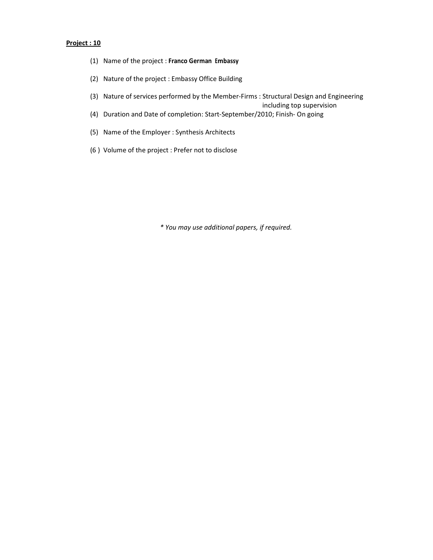# Project : 10

- (1) Name of the project : Franco German Embassy
- (2) Nature of the project : Embassy Office Building
- (3) Nature of services performed by the Member-Firms : Structural Design and Engineering

including top supervision

- (4) Duration and Date of completion: Start-September/2010; Finish- On going
- (5) Name of the Employer : Synthesis Architects
- (6 ) Volume of the project : Prefer not to disclose

\* You may use additional papers, if required.